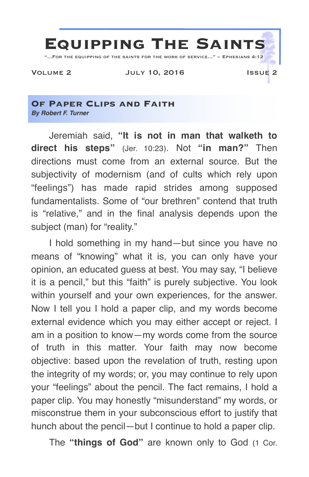

## **Of Paper Clips and Faith** *By Robert F. Turner*

Jeremiah said, **"It is not in man that walketh to direct his steps"** (Jer. 10:23). Not **"in man?"** Then directions must come from an external source. But the subjectivity of modernism (and of cults which rely upon "feelings") has made rapid strides among supposed fundamentalists. Some of "our brethren" contend that truth is "relative," and in the final analysis depends upon the subject (man) for "reality."

I hold something in my hand—but since you have no means of "knowing" what it is, you can only have your opinion, an educated guess at best. You may say, "I believe it is a pencil," but this "faith" is purely subjective. You look within yourself and your own experiences, for the answer. Now I tell you I hold a paper clip, and my words become external evidence which you may either accept or reject. I am in a position to know—my words come from the source of truth in this matter. Your faith may now become objective: based upon the revelation of truth, resting upon the integrity of my words; or, you may continue to rely upon your "feelings" about the pencil. The fact remains, I hold a paper clip. You may honestly "misunderstand" my words, or misconstrue them in your subconscious effort to justify that hunch about the pencil—but I continue to hold a paper clip.

The **"things of God"** are known only to God (1 Cor.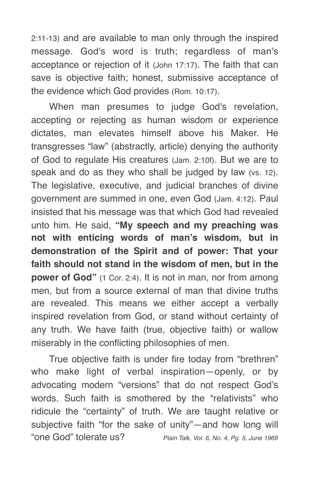2:11-13) and are available to man only through the inspired message. God's word is truth; regardless of man's acceptance or rejection of it (John 17:17). The faith that can save is objective faith; honest, submissive acceptance of the evidence which God provides (Rom. 10:17).

When man presumes to judge God's revelation, accepting or rejecting as human wisdom or experience dictates, man elevates himself above his Maker. He transgresses "law" (abstractly, article) denying the authority of God to regulate His creatures (Jam. 2:10f). But we are to speak and do as they who shall be judged by law (vs. 12). The legislative, executive, and judicial branches of divine government are summed in one, even God (Jam. 4:12). Paul insisted that his message was that which God had revealed unto him. He said, **"My speech and my preaching was not with enticing words of man's wisdom, but in demonstration of the Spirit and of power: That your faith should not stand in the wisdom of men, but in the power of God"** (1 Cor. 2:4). It is not in man, nor from among men, but from a source external of man that divine truths are revealed. This means we either accept a verbally inspired revelation from God, or stand without certainty of any truth. We have faith (true, objective faith) or wallow miserably in the conflicting philosophies of men.

True objective faith is under fire today from "brethren" who make light of verbal inspiration—openly, or by advocating modern "versions" that do not respect God's words. Such faith is smothered by the "relativists" who ridicule the "certainty" of truth. We are taught relative or subjective faith "for the sake of unity"—and how long will "one God" tolerate us? *Plain Talk, Vol. 6, No. 4, Pg. 5, June 1969*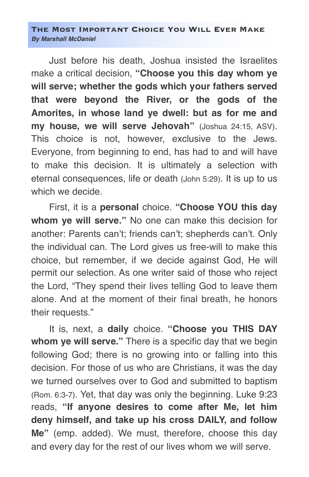## **The Most Important Choice You Will Ever Make** *By Marshall McDaniel*

Just before his death, Joshua insisted the Israelites make a critical decision, **"Choose you this day whom ye will serve; whether the gods which your fathers served that were beyond the River, or the gods of the Amorites, in whose land ye dwell: but as for me and my house, we will serve Jehovah"** (Joshua 24:15, ASV). This choice is not, however, exclusive to the Jews. Everyone, from beginning to end, has had to and will have to make this decision. It is ultimately a selection with eternal consequences, life or death (John 5:29). It is up to us which we decide.

First, it is a **personal** choice. **"Choose YOU this day whom ye will serve."** No one can make this decision for another: Parents can't; friends can't; shepherds can't. Only the individual can. The Lord gives us free-will to make this choice, but remember, if we decide against God, He will permit our selection. As one writer said of those who reject the Lord, "They spend their lives telling God to leave them alone. And at the moment of their final breath, he honors their requests."

It is, next, a **daily** choice. **"Choose you THIS DAY whom ye will serve."** There is a specific day that we begin following God; there is no growing into or falling into this decision. For those of us who are Christians, it was the day we turned ourselves over to God and submitted to baptism (Rom. 6:3-7). Yet, that day was only the beginning. Luke 9:23 reads, **"If anyone desires to come after Me, let him deny himself, and take up his cross DAILY, and follow Me"** (emp. added). We must, therefore, choose this day and every day for the rest of our lives whom we will serve.